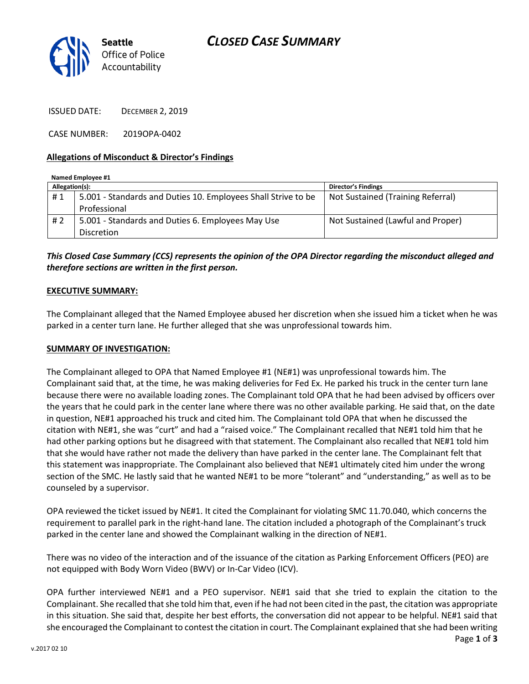



ISSUED DATE: DECEMBER 2, 2019

CASE NUMBER: 2019OPA-0402

#### **Allegations of Misconduct & Director's Findings**

| Named Employee #1 |                                                               |                                   |
|-------------------|---------------------------------------------------------------|-----------------------------------|
| Allegation(s):    |                                                               | <b>Director's Findings</b>        |
| #1                | 5.001 - Standards and Duties 10. Employees Shall Strive to be | Not Sustained (Training Referral) |
|                   | Professional                                                  |                                   |
| # $2$             | 5.001 - Standards and Duties 6. Employees May Use             | Not Sustained (Lawful and Proper) |
|                   | <b>Discretion</b>                                             |                                   |

*This Closed Case Summary (CCS) represents the opinion of the OPA Director regarding the misconduct alleged and therefore sections are written in the first person.* 

#### **EXECUTIVE SUMMARY:**

The Complainant alleged that the Named Employee abused her discretion when she issued him a ticket when he was parked in a center turn lane. He further alleged that she was unprofessional towards him.

#### **SUMMARY OF INVESTIGATION:**

The Complainant alleged to OPA that Named Employee #1 (NE#1) was unprofessional towards him. The Complainant said that, at the time, he was making deliveries for Fed Ex. He parked his truck in the center turn lane because there were no available loading zones. The Complainant told OPA that he had been advised by officers over the years that he could park in the center lane where there was no other available parking. He said that, on the date in question, NE#1 approached his truck and cited him. The Complainant told OPA that when he discussed the citation with NE#1, she was "curt" and had a "raised voice." The Complainant recalled that NE#1 told him that he had other parking options but he disagreed with that statement. The Complainant also recalled that NE#1 told him that she would have rather not made the delivery than have parked in the center lane. The Complainant felt that this statement was inappropriate. The Complainant also believed that NE#1 ultimately cited him under the wrong section of the SMC. He lastly said that he wanted NE#1 to be more "tolerant" and "understanding," as well as to be counseled by a supervisor.

OPA reviewed the ticket issued by NE#1. It cited the Complainant for violating SMC 11.70.040, which concerns the requirement to parallel park in the right-hand lane. The citation included a photograph of the Complainant's truck parked in the center lane and showed the Complainant walking in the direction of NE#1.

There was no video of the interaction and of the issuance of the citation as Parking Enforcement Officers (PEO) are not equipped with Body Worn Video (BWV) or In-Car Video (ICV).

OPA further interviewed NE#1 and a PEO supervisor. NE#1 said that she tried to explain the citation to the Complainant. She recalled that she told him that, even if he had not been cited in the past, the citation was appropriate in this situation. She said that, despite her best efforts, the conversation did not appear to be helpful. NE#1 said that she encouraged the Complainant to contest the citation in court. The Complainant explained that she had been writing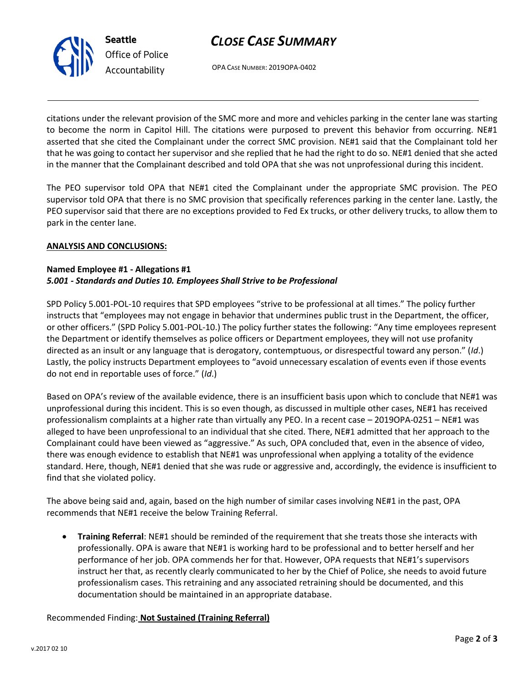# *CLOSE CASE SUMMARY*



OPA CASE NUMBER: 2019OPA-0402

citations under the relevant provision of the SMC more and more and vehicles parking in the center lane was starting to become the norm in Capitol Hill. The citations were purposed to prevent this behavior from occurring. NE#1 asserted that she cited the Complainant under the correct SMC provision. NE#1 said that the Complainant told her that he was going to contact her supervisor and she replied that he had the right to do so. NE#1 denied that she acted in the manner that the Complainant described and told OPA that she was not unprofessional during this incident.

The PEO supervisor told OPA that NE#1 cited the Complainant under the appropriate SMC provision. The PEO supervisor told OPA that there is no SMC provision that specifically references parking in the center lane. Lastly, the PEO supervisor said that there are no exceptions provided to Fed Ex trucks, or other delivery trucks, to allow them to park in the center lane.

## **ANALYSIS AND CONCLUSIONS:**

## **Named Employee #1 - Allegations #1** *5.001 - Standards and Duties 10. Employees Shall Strive to be Professional*

SPD Policy 5.001-POL-10 requires that SPD employees "strive to be professional at all times." The policy further instructs that "employees may not engage in behavior that undermines public trust in the Department, the officer, or other officers." (SPD Policy 5.001-POL-10.) The policy further states the following: "Any time employees represent the Department or identify themselves as police officers or Department employees, they will not use profanity directed as an insult or any language that is derogatory, contemptuous, or disrespectful toward any person." (*Id*.) Lastly, the policy instructs Department employees to "avoid unnecessary escalation of events even if those events do not end in reportable uses of force." (*Id*.)

Based on OPA's review of the available evidence, there is an insufficient basis upon which to conclude that NE#1 was unprofessional during this incident. This is so even though, as discussed in multiple other cases, NE#1 has received professionalism complaints at a higher rate than virtually any PEO. In a recent case – 2019OPA-0251 – NE#1 was alleged to have been unprofessional to an individual that she cited. There, NE#1 admitted that her approach to the Complainant could have been viewed as "aggressive." As such, OPA concluded that, even in the absence of video, there was enough evidence to establish that NE#1 was unprofessional when applying a totality of the evidence standard. Here, though, NE#1 denied that she was rude or aggressive and, accordingly, the evidence is insufficient to find that she violated policy.

The above being said and, again, based on the high number of similar cases involving NE#1 in the past, OPA recommends that NE#1 receive the below Training Referral.

• **Training Referral**: NE#1 should be reminded of the requirement that she treats those she interacts with professionally. OPA is aware that NE#1 is working hard to be professional and to better herself and her performance of her job. OPA commends her for that. However, OPA requests that NE#1's supervisors instruct her that, as recently clearly communicated to her by the Chief of Police, she needs to avoid future professionalism cases. This retraining and any associated retraining should be documented, and this documentation should be maintained in an appropriate database.

## Recommended Finding: **Not Sustained (Training Referral)**